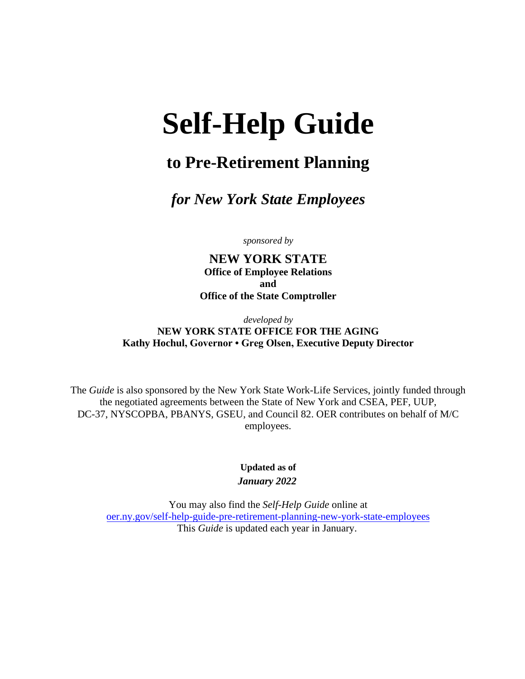# **Self-Help Guide**

## **to Pre-Retirement Planning**

*for New York State Employees* 

*sponsored by* 

**NEW YORK STATE Office of Employee Relations and Office of the State Comptroller** 

#### *developed by*  **NEW YORK STATE OFFICE FOR THE AGING Kathy Hochul, Governor • Greg Olsen, Executive Deputy Director**

The *Guide* is also sponsored by the New York State Work-Life Services, jointly funded through the negotiated agreements between the State of New York and CSEA, PEF, UUP, DC-37, NYSCOPBA, PBANYS, GSEU, and Council 82. OER contributes on behalf of M/C employees.

> **Updated as of**  *January 2022*

You may also find the *Self-Help Guide* online at [oer.ny.gov/self-help-guide-pre-retirement-planning-new-york-state-employees](https://goer.ny.gov/self-help-guide-pre-retirement-planning-new-york-state-employees) This *Guide* is updated each year in January.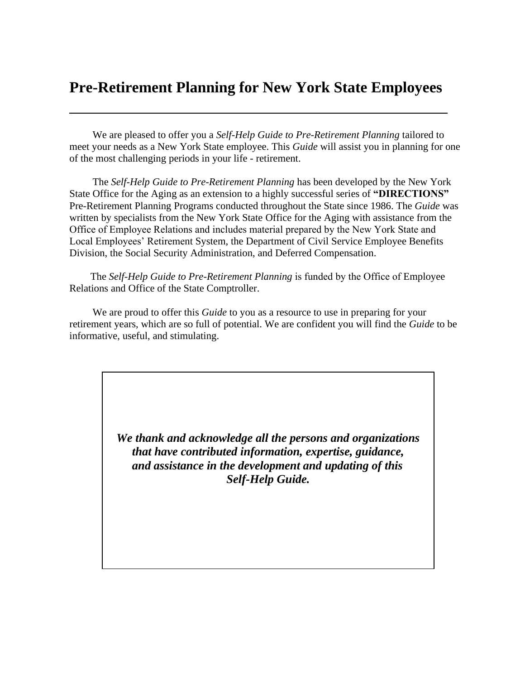### **Pre-Retirement Planning for New York State Employees**

We are pleased to offer you a *Self-Help Guide to Pre-Retirement Planning* tailored to meet your needs as a New York State employee. This *Guide* will assist you in planning for one of the most challenging periods in your life - retirement.

The *Self-Help Guide to Pre-Retirement Planning* has been developed by the New York State Office for the Aging as an extension to a highly successful series of **"DIRECTIONS"**  Pre-Retirement Planning Programs conducted throughout the State since 1986. The *Guide* was written by specialists from the New York State Office for the Aging with assistance from the Office of Employee Relations and includes material prepared by the New York State and Local Employees' Retirement System, the Department of Civil Service Employee Benefits Division, the Social Security Administration, and Deferred Compensation.

The *Self-Help Guide to Pre-Retirement Planning* is funded by the Office of Employee Relations and Office of the State Comptroller.

We are proud to offer this *Guide* to you as a resource to use in preparing for your retirement years, which are so full of potential. We are confident you will find the *Guide* to be informative, useful, and stimulating.

> *We thank and acknowledge all the persons and organizations that have contributed information, expertise, guidance, and assistance in the development and updating of this Self-Help Guide.*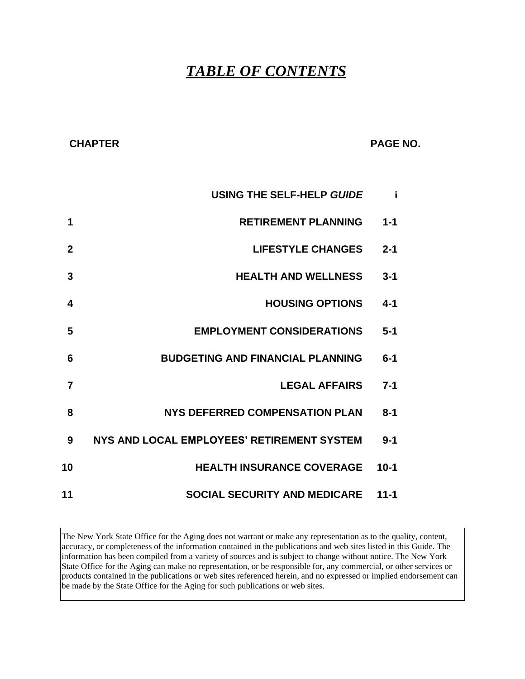### *TABLE OF CONTENTS*

**CHAPTER PAGE NO.**

| i        | USING THE SELF-HELP GUIDE                  |    |
|----------|--------------------------------------------|----|
| $1 - 1$  | <b>RETIREMENT PLANNING</b>                 | 1  |
| $2 - 1$  | <b>LIFESTYLE CHANGES</b>                   | 2  |
| $3 - 1$  | <b>HEALTH AND WELLNESS</b>                 | 3  |
| $4 - 1$  | <b>HOUSING OPTIONS</b>                     | 4  |
| $5 - 1$  | <b>EMPLOYMENT CONSIDERATIONS</b>           | 5  |
| $6-1$    | <b>BUDGETING AND FINANCIAL PLANNING</b>    | 6  |
| $7 - 1$  | <b>LEGAL AFFAIRS</b>                       | 7  |
| $8 - 1$  | NYS DEFERRED COMPENSATION PLAN             | 8  |
| $9 - 1$  | NYS AND LOCAL EMPLOYEES' RETIREMENT SYSTEM | 9  |
| $10-1$   | <b>HEALTH INSURANCE COVERAGE</b>           | 10 |
| $11 - 1$ | <b>SOCIAL SECURITY AND MEDICARE</b>        | 11 |

The New York State Office for the Aging does not warrant or make any representation as to the quality, content, accuracy, or completeness of the information contained in the publications and web sites listed in this Guide. The information has been compiled from a variety of sources and is subject to change without notice. The New York State Office for the Aging can make no representation, or be responsible for, any commercial, or other services or products contained in the publications or web sites referenced herein, and no expressed or implied endorsement can be made by the State Office for the Aging for such publications or web sites.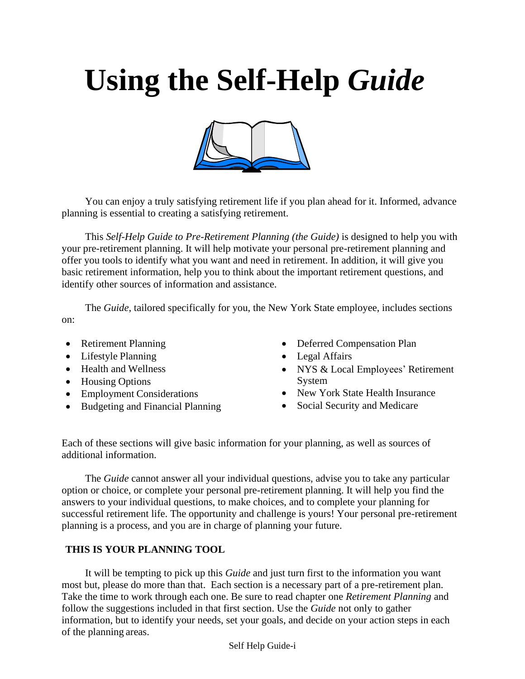# **Using the Self-Help** *Guide*



You can enjoy a truly satisfying retirement life if you plan ahead for it. Informed, advance planning is essential to creating a satisfying retirement.

This *Self-Help Guide to Pre-Retirement Planning (the Guide)* is designed to help you with your pre-retirement planning. It will help motivate your personal pre-retirement planning and offer you tools to identify what you want and need in retirement. In addition, it will give you basic retirement information, help you to think about the important retirement questions, and identify other sources of information and assistance.

The *Guide*, tailored specifically for you, the New York State employee, includes sections on:

- 
- Lifestyle Planning Legal Affairs
- 
- Housing Options System
- 
- Budgeting and Financial Planning Social Security and Medicare
- Retirement Planning Deferred Compensation Plan
	-
- Health and Wellness NYS & Local Employees' Retirement
- Employment Considerations New York State Health Insurance
	-

Each of these sections will give basic information for your planning, as well as sources of additional information.

The *Guide* cannot answer all your individual questions, advise you to take any particular option or choice, or complete your personal pre-retirement planning. It will help you find the answers to your individual questions, to make choices, and to complete your planning for successful retirement life. The opportunity and challenge is yours! Your personal pre-retirement planning is a process, and you are in charge of planning your future.

#### **THIS IS YOUR PLANNING TOOL**

It will be tempting to pick up this *Guide* and just turn first to the information you want most but, please do more than that. Each section is a necessary part of a pre-retirement plan. Take the time to work through each one. Be sure to read chapter one *Retirement Planning* and follow the suggestions included in that first section. Use the *Guide* not only to gather information, but to identify your needs, set your goals, and decide on your action steps in each of the planning areas.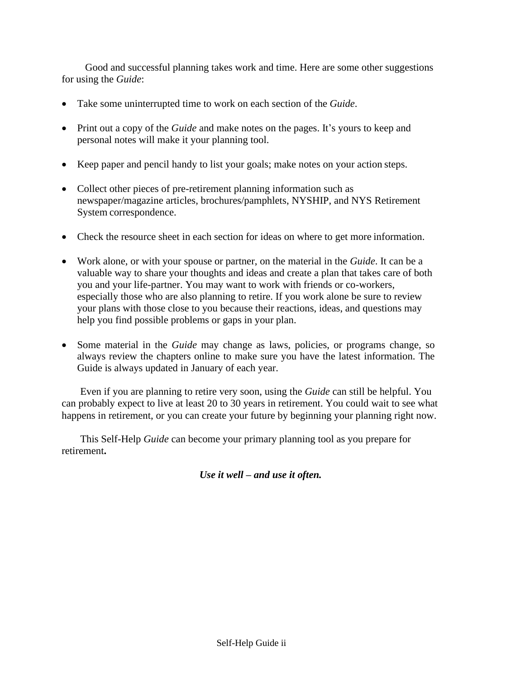Good and successful planning takes work and time. Here are some other suggestions for using the *Guide*:

- Take some uninterrupted time to work on each section of the *Guide*.
- Print out a copy of the *Guide* and make notes on the pages. It's yours to keep and personal notes will make it your planning tool.
- Keep paper and pencil handy to list your goals; make notes on your action steps.
- Collect other pieces of pre-retirement planning information such as newspaper/magazine articles, brochures/pamphlets, NYSHIP, and NYS Retirement System correspondence.
- Check the resource sheet in each section for ideas on where to get more information.
- Work alone, or with your spouse or partner, on the material in the *Guide*. It can be a valuable way to share your thoughts and ideas and create a plan that takes care of both you and your life-partner. You may want to work with friends or co-workers, especially those who are also planning to retire. If you work alone be sure to review your plans with those close to you because their reactions, ideas, and questions may help you find possible problems or gaps in your plan.
- Some material in the *Guide* may change as laws, policies, or programs change, so always review the chapters online to make sure you have the latest information. The Guide is always updated in January of each year.

Even if you are planning to retire very soon, using the *Guide* can still be helpful. You can probably expect to live at least 20 to 30 years in retirement. You could wait to see what happens in retirement, or you can create your future by beginning your planning right now.

This Self-Help *Guide* can become your primary planning tool as you prepare for retirement**.**

*Use it well – and use it often.*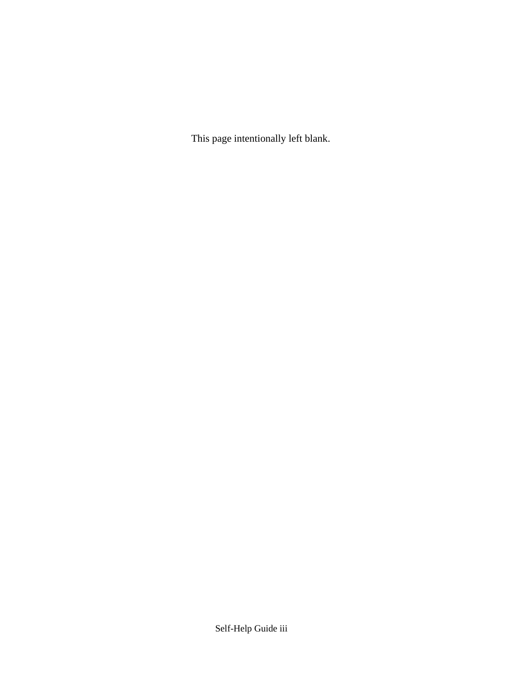This page intentionally left blank.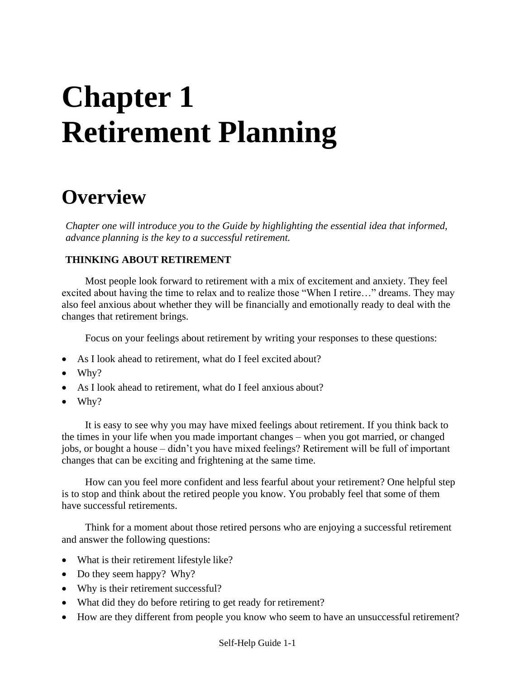# **Chapter 1 Retirement Planning**

# **Overview**

*Chapter one will introduce you to the Guide by highlighting the essential idea that informed, advance planning is the key to a successful retirement.*

#### **THINKING ABOUT RETIREMENT**

Most people look forward to retirement with a mix of excitement and anxiety. They feel excited about having the time to relax and to realize those "When I retire…" dreams. They may also feel anxious about whether they will be financially and emotionally ready to deal with the changes that retirement brings.

Focus on your feelings about retirement by writing your responses to these questions:

- As I look ahead to retirement, what do I feel excited about?
- Why?
- As I look ahead to retirement, what do I feel anxious about?
- Why?

It is easy to see why you may have mixed feelings about retirement. If you think back to the times in your life when you made important changes – when you got married, or changed jobs, or bought a house – didn't you have mixed feelings? Retirement will be full of important changes that can be exciting and frightening at the same time.

How can you feel more confident and less fearful about your retirement? One helpful step is to stop and think about the retired people you know. You probably feel that some of them have successful retirements.

Think for a moment about those retired persons who are enjoying a successful retirement and answer the following questions:

- What is their retirement lifestyle like?
- Do they seem happy? Why?
- Why is their retirement successful?
- What did they do before retiring to get ready for retirement?
- How are they different from people you know who seem to have an unsuccessful retirement?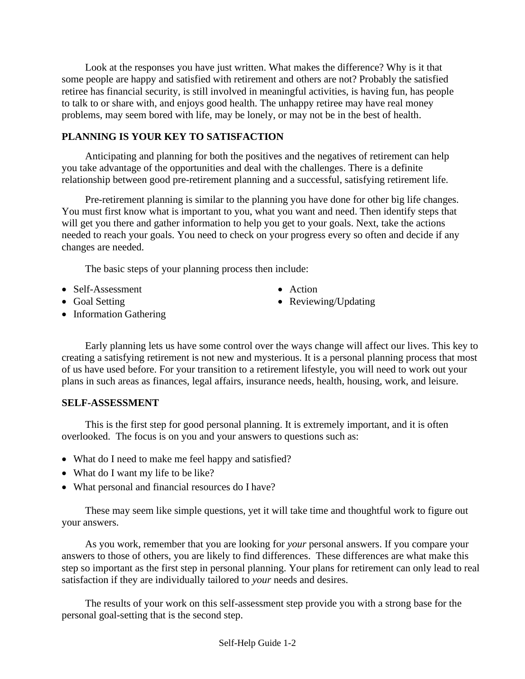Look at the responses you have just written. What makes the difference? Why is it that some people are happy and satisfied with retirement and others are not? Probably the satisfied retiree has financial security, is still involved in meaningful activities, is having fun, has people to talk to or share with, and enjoys good health. The unhappy retiree may have real money problems, may seem bored with life, may be lonely, or may not be in the best of health.

#### **PLANNING IS YOUR KEY TO SATISFACTION**

Anticipating and planning for both the positives and the negatives of retirement can help you take advantage of the opportunities and deal with the challenges. There is a definite relationship between good pre-retirement planning and a successful, satisfying retirement life.

Pre-retirement planning is similar to the planning you have done for other big life changes. You must first know what is important to you, what you want and need. Then identify steps that will get you there and gather information to help you get to your goals. Next, take the actions needed to reach your goals. You need to check on your progress every so often and decide if any changes are needed.

The basic steps of your planning process then include:

- Self-Assessment
- Goal Setting
- Information Gathering
- Action
- Reviewing/Updating

Early planning lets us have some control over the ways change will affect our lives. This key to creating a satisfying retirement is not new and mysterious. It is a personal planning process that most of us have used before. For your transition to a retirement lifestyle, you will need to work out your plans in such areas as finances, legal affairs, insurance needs, health, housing, work, and leisure.

#### **SELF-ASSESSMENT**

This is the first step for good personal planning. It is extremely important, and it is often overlooked. The focus is on you and your answers to questions such as:

- What do I need to make me feel happy and satisfied?
- What do I want my life to be like?
- What personal and financial resources do I have?

These may seem like simple questions, yet it will take time and thoughtful work to figure out your answers.

As you work, remember that you are looking for *your* personal answers. If you compare your answers to those of others, you are likely to find differences. These differences are what make this step so important as the first step in personal planning. Your plans for retirement can only lead to real satisfaction if they are individually tailored to *your* needs and desires.

The results of your work on this self-assessment step provide you with a strong base for the personal goal-setting that is the second step.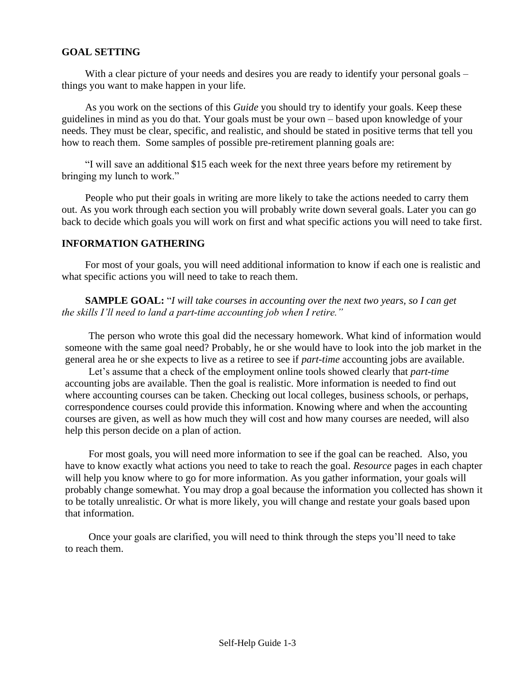#### **GOAL SETTING**

With a clear picture of your needs and desires you are ready to identify your personal goals – things you want to make happen in your life.

As you work on the sections of this *Guide* you should try to identify your goals. Keep these guidelines in mind as you do that. Your goals must be your own – based upon knowledge of your needs. They must be clear, specific, and realistic, and should be stated in positive terms that tell you how to reach them. Some samples of possible pre-retirement planning goals are:

"I will save an additional \$15 each week for the next three years before my retirement by bringing my lunch to work."

People who put their goals in writing are more likely to take the actions needed to carry them out. As you work through each section you will probably write down several goals. Later you can go back to decide which goals you will work on first and what specific actions you will need to take first.

#### **INFORMATION GATHERING**

For most of your goals, you will need additional information to know if each one is realistic and what specific actions you will need to take to reach them.

**SAMPLE GOAL:** "*I will take courses in accounting over the next two years, so I can get the skills I'll need to land a part-time accounting job when I retire."*

The person who wrote this goal did the necessary homework. What kind of information would someone with the same goal need? Probably, he or she would have to look into the job market in the general area he or she expects to live as a retiree to see if *part-time* accounting jobs are available.

Let's assume that a check of the employment online tools showed clearly that *part-time*  accounting jobs are available. Then the goal is realistic. More information is needed to find out where accounting courses can be taken. Checking out local colleges, business schools, or perhaps, correspondence courses could provide this information. Knowing where and when the accounting courses are given, as well as how much they will cost and how many courses are needed, will also help this person decide on a plan of action.

For most goals, you will need more information to see if the goal can be reached. Also, you have to know exactly what actions you need to take to reach the goal. *Resource* pages in each chapter will help you know where to go for more information. As you gather information, your goals will probably change somewhat. You may drop a goal because the information you collected has shown it to be totally unrealistic. Or what is more likely, you will change and restate your goals based upon that information.

Once your goals are clarified, you will need to think through the steps you'll need to take to reach them.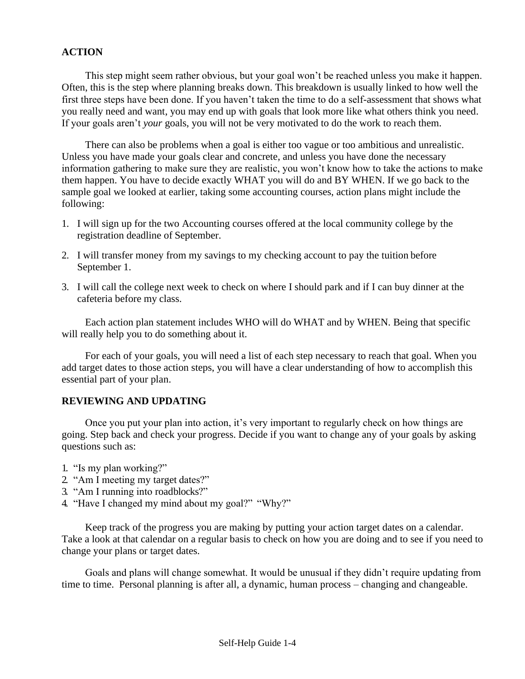#### **ACTION**

This step might seem rather obvious, but your goal won't be reached unless you make it happen. Often, this is the step where planning breaks down. This breakdown is usually linked to how well the first three steps have been done. If you haven't taken the time to do a self-assessment that shows what you really need and want, you may end up with goals that look more like what others think you need. If your goals aren't *your* goals, you will not be very motivated to do the work to reach them.

There can also be problems when a goal is either too vague or too ambitious and unrealistic. Unless you have made your goals clear and concrete, and unless you have done the necessary information gathering to make sure they are realistic, you won't know how to take the actions to make them happen. You have to decide exactly WHAT you will do and BY WHEN. If we go back to the sample goal we looked at earlier, taking some accounting courses, action plans might include the following:

- 1. I will sign up for the two Accounting courses offered at the local community college by the registration deadline of September.
- 2. I will transfer money from my savings to my checking account to pay the tuition before September 1.
- 3. I will call the college next week to check on where I should park and if I can buy dinner at the cafeteria before my class.

Each action plan statement includes WHO will do WHAT and by WHEN. Being that specific will really help you to do something about it.

For each of your goals, you will need a list of each step necessary to reach that goal. When you add target dates to those action steps, you will have a clear understanding of how to accomplish this essential part of your plan.

#### **REVIEWING AND UPDATING**

Once you put your plan into action, it's very important to regularly check on how things are going. Step back and check your progress. Decide if you want to change any of your goals by asking questions such as:

- 1. "Is my plan working?"
- 2. "Am I meeting my target dates?"
- 3. "Am I running into roadblocks?"
- 4. "Have I changed my mind about my goal?" "Why?"

Keep track of the progress you are making by putting your action target dates on a calendar. Take a look at that calendar on a regular basis to check on how you are doing and to see if you need to change your plans or target dates.

Goals and plans will change somewhat. It would be unusual if they didn't require updating from time to time. Personal planning is after all, a dynamic, human process – changing and changeable.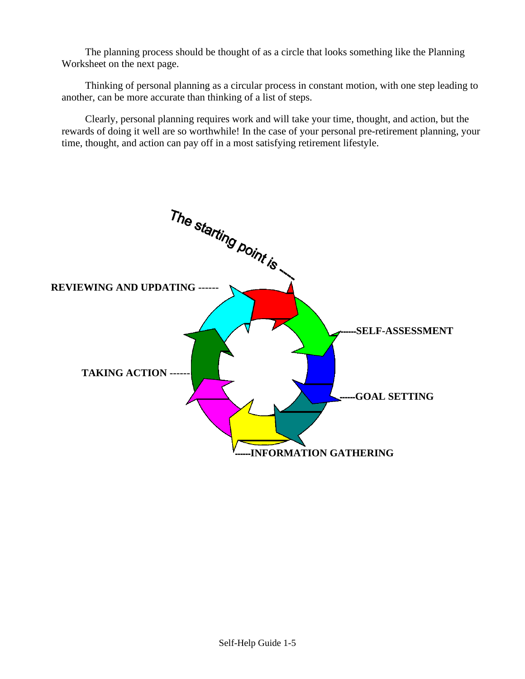The planning process should be thought of as a circle that looks something like the Planning Worksheet on the next page.

Thinking of personal planning as a circular process in constant motion, with one step leading to another, can be more accurate than thinking of a list of steps.

Clearly, personal planning requires work and will take your time, thought, and action, but the rewards of doing it well are so worthwhile! In the case of your personal pre-retirement planning, your time, thought, and action can pay off in a most satisfying retirement lifestyle.

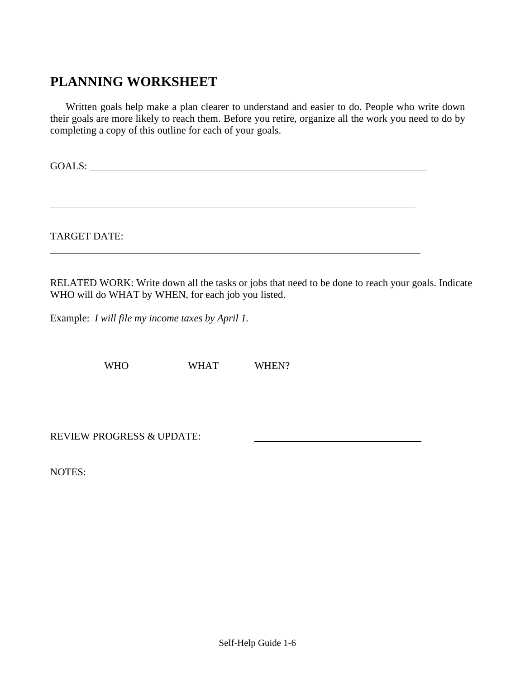### **PLANNING WORKSHEET**

Written goals help make a plan clearer to understand and easier to do. People who write down their goals are more likely to reach them. Before you retire, organize all the work you need to do by completing a copy of this outline for each of your goals.

GOALS: with a set of the set of the set of the set of the set of the set of the set of the set of the set of the set of the set of the set of the set of the set of the set of the set of the set of the set of the set of the

TARGET DATE:

RELATED WORK: Write down all the tasks or jobs that need to be done to reach your goals. Indicate WHO will do WHAT by WHEN, for each job you listed.

Example: *I will file my income taxes by April 1.*

WHO WHAT WHEN?

REVIEW PROGRESS & UPDATE:

NOTES: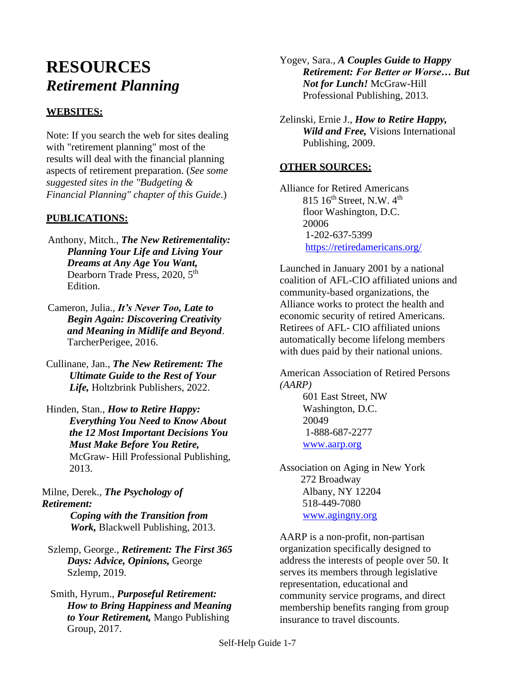# **RESOURCES** *Retirement Planning*

#### **WEBSITES:**

Note: If you search the web for sites dealing with "retirement planning" most of the results will deal with the financial planning aspects of retirement preparation. (*See some suggested sites in the "Budgeting & Financial Planning" chapter of this Guide*.)

#### **PUBLICATIONS:**

- Anthony, Mitch., *The New Retirementality: Planning Your Life and Living Your Dreams at Any Age You Want,*  Dearborn Trade Press, 2020, 5<sup>th</sup> Edition.
- Cameron, Julia., *It's Never Too, Late to Begin Again: Discovering Creativity and Meaning in Midlife and Beyond*. TarcherPerigee, 2016.
- Cullinane, Jan., *The New Retirement: The Ultimate Guide to the Rest of Your Life,* Holtzbrink Publishers, 2022.
- Hinden, Stan., *How to Retire Happy: Everything You Need to Know About the 12 Most Important Decisions You Must Make Before You Retire,* McGraw- Hill Professional Publishing, 2013.

Milne, Derek., *The Psychology of Retirement:* 

 *Coping with the Transition from Work,* Blackwell Publishing, 2013.

Szlemp, George., *Retirement: The First 365 Days: Advice, Opinions,* George Szlemp, 2019.

```
Smith, Hyrum., Purposeful Retirement: 
How to Bring Happiness and Meaning 
to Your Retirement, Mango Publishing 
Group, 2017.
```
Yogev, Sara., *A Couples Guide to Happy Retirement: For Better or Worse… But Not for Lunch!* McGraw-Hill Professional Publishing, 2013.

Zelinski, Ernie J., *How to Retire Happy, Wild and Free,* Visions International Publishing, 2009.

#### **OTHER SOURCES:**

Alliance for Retired Americans  $815 \, 16$ <sup>th</sup> Street, N.W.  $4$ <sup>th</sup> floor Washington, D.C. 20006 1-202-637-5399 <https://retiredamericans.org/>

Launched in January 2001 by a national coalition of AFL-CIO affiliated unions and community-based organizations, the Alliance works to protect the health and economic security of retired Americans. Retirees of AFL- CIO affiliated unions automatically become lifelong members with dues paid by their national unions.

American Association of Retired Persons *(AARP)*

> 601 East Street, NW Washington, D.C. 20049 1-888-687-2277 [www.aarp.org](http://www.aarp.org/)

Association on Aging in New York 272 Broadway Albany, NY 12204 518-449-7080 [www.agingny.org](http://www.agingny.org/)

AARP is a non-profit, non-partisan organization specifically designed to address the interests of people over 50. It serves its members through legislative representation, educational and community service programs, and direct membership benefits ranging from group insurance to travel discounts.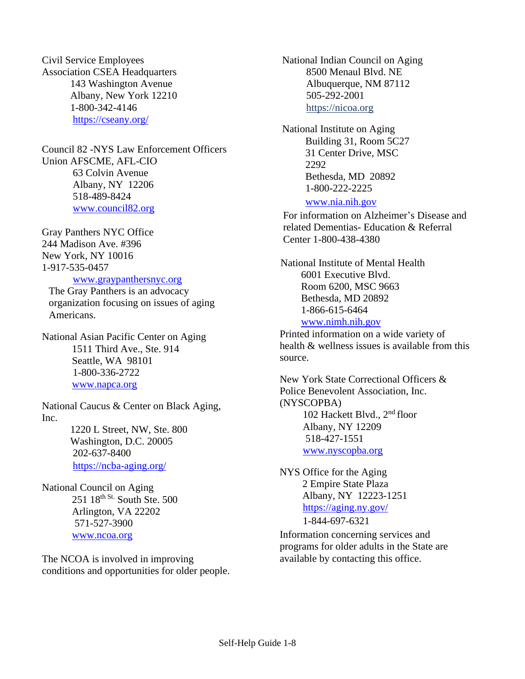Civil Service Employees Association CSEA Headquarters 143 Washington Avenue Albany, New York 12210 1-800-342-4146 https://cseany.org/

Council 82 -NYS Law Enforcement Officers Union AFSCME, AFL-CIO 63 Colvin Avenue Albany, NY 12206 518-489-8424 [www.council82.org](http://www.council82.org/)

Gray Panthers NYC Office 244 Madison Ave. #396 New York, NY 10016 1-917-535-0457

#### [www.graypanthersnyc.org](http://www.graypanthersnyc.org/)

The Gray Panthers is an advocacy organization focusing on issues of aging Americans.

National Asian Pacific Center on Aging 1511 Third Ave., Ste. 914 Seattle, WA 98101 1-800-336-2722 [www.napca.org](http://www.napca.org/)

National Caucus & Center on Black Aging, Inc.

> 1220 L Street, NW, Ste. 800 Washington, D.C. 20005 202-637-8400 <https://ncba-aging.org/>

National Council on Aging 251 18th St. South Ste. 500 Arlington, VA 22202 571-527-3900 [www.ncoa.org](http://www.ncoa.org/)

The NCOA is involved in improving conditions and opportunities for older people. National Indian Council on Aging 8500 Menaul Blvd. NE Albuquerque, NM 87112 505-292-2001 [https://nicoa.org](https://nicoa.org/)

National Institute on Aging Building 31, Room 5C27 31 Center Drive, MSC 2292 Bethesda, MD 20892 1-800-222-2225

#### [www.nia.nih.gov](http://www.nia.nih.gov/)

 For information on Alzheimer's Disease and related Dementias- Education & Referral Center 1-800-438-4380

 National Institute of Mental Health 6001 Executive Blvd. Room 6200, MSC 9663 Bethesda, MD 20892 1-866-615-6464 [www.nimh.nih.gov](http://www.nimh.nih.gov/)

Printed information on a wide variety of health  $\&$  wellness issues is available from this source.

New York State Correctional Officers & Police Benevolent Association, Inc. (NYSCOPBA) 102 Hackett Blvd., 2nd floor Albany, NY 12209 518-427-1551 [www.nyscopba.org](http://www.nyscopba.org/)

NYS Office for the Aging 2 Empire State Plaza Albany, NY 12223-1251 <https://aging.ny.gov/> 1-844-697-6321

Information concerning services and programs for older adults in the State are available by contacting this office.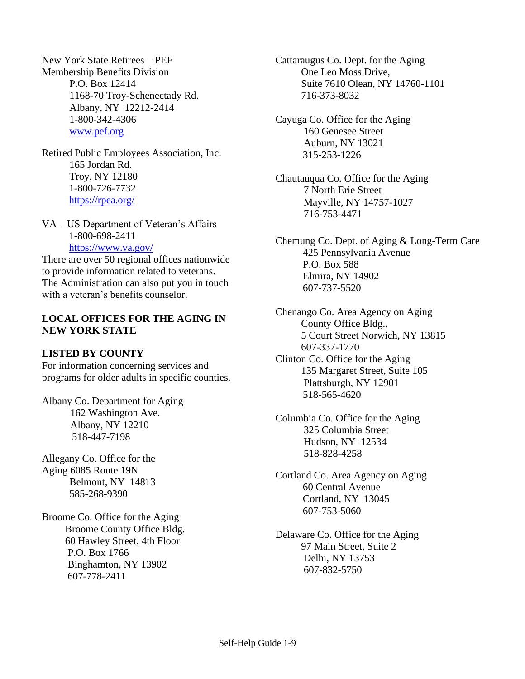New York State Retirees – PEF Membership Benefits Division P.O. Box 12414 1168-70 Troy-Schenectady Rd. Albany, NY 12212-2414 1-800-342-4306 [www.pef.org](http://www.pef.org/)

Retired Public Employees Association, Inc. 165 Jordan Rd. Troy, NY 12180 1-800-726-7732 https://rpea.org/

VA – US Department of Veteran's Affairs 1-800-698-2411 <https://www.va.gov/>

There are over 50 regional offices nationwide to provide information related to veterans. The Administration can also put you in touch with a veteran's benefits counselor.

#### **LOCAL OFFICES FOR THE AGING IN NEW YORK STATE**

#### **LISTED BY COUNTY**

For information concerning services and programs for older adults in specific counties.

Albany Co. Department for Aging 162 Washington Ave. Albany, NY 12210 518-447-7198

Allegany Co. Office for the Aging 6085 Route 19N Belmont, NY 14813 585-268-9390

Broome Co. Office for the Aging Broome County Office Bldg. 60 Hawley Street, 4th Floor P.O. Box 1766 Binghamton, NY 13902 607-778-2411

Cattaraugus Co. Dept. for the Aging One Leo Moss Drive, Suite 7610 Olean, NY 14760-1101 716-373-8032

Cayuga Co. Office for the Aging 160 Genesee Street Auburn, NY 13021 315-253-1226

- Chautauqua Co. Office for the Aging 7 North Erie Street Mayville, NY 14757-1027 716-753-4471
- Chemung Co. Dept. of Aging & Long-Term Care 425 Pennsylvania Avenue P.O. Box 588 Elmira, NY 14902 607-737-5520
- Chenango Co. Area Agency on Aging County Office Bldg., 5 Court Street Norwich, NY 13815 607-337-1770
- Clinton Co. Office for the Aging 135 Margaret Street, Suite 105 Plattsburgh, NY 12901 518-565-4620
- Columbia Co. Office for the Aging 325 Columbia Street Hudson, NY 12534 518-828-4258
- Cortland Co. Area Agency on Aging 60 Central Avenue Cortland, NY 13045 607-753-5060
- Delaware Co. Office for the Aging 97 Main Street, Suite 2 Delhi, NY 13753 607-832-5750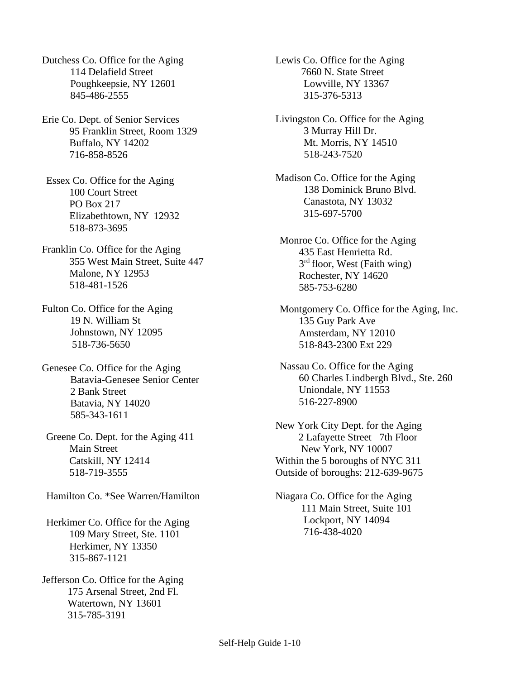Dutchess Co. Office for the Aging 114 Delafield Street Poughkeepsie, NY 12601 845-486-2555

- Erie Co. Dept. of Senior Services 95 Franklin Street, Room 1329 Buffalo, NY 14202 716-858-8526
- Essex Co. Office for the Aging 100 Court Street PO Box 217 Elizabethtown, NY 12932 518-873-3695
- Franklin Co. Office for the Aging 355 West Main Street, Suite 447 Malone, NY 12953 518-481-1526
- Fulton Co. Office for the Aging 19 N. William St Johnstown, NY 12095 518-736-5650
- Genesee Co. Office for the Aging Batavia-Genesee Senior Center 2 Bank Street Batavia, NY 14020 585-343-1611
- Greene Co. Dept. for the Aging 411 Main Street Catskill, NY 12414 518-719-3555

Hamilton Co. \*See Warren/Hamilton

Herkimer Co. Office for the Aging 109 Mary Street, Ste. 1101 Herkimer, NY 13350 315-867-1121

Jefferson Co. Office for the Aging 175 Arsenal Street, 2nd Fl. Watertown, NY 13601 315-785-3191

Lewis Co. Office for the Aging 7660 N. State Street Lowville, NY 13367 315-376-5313

- Livingston Co. Office for the Aging 3 Murray Hill Dr. Mt. Morris, NY 14510 518-243-7520
- Madison Co. Office for the Aging 138 Dominick Bruno Blvd. Canastota, NY 13032 315-697-5700
- Monroe Co. Office for the Aging 435 East Henrietta Rd. 3<sup>rd</sup> floor, West (Faith wing) Rochester, NY 14620 585-753-6280
- Montgomery Co. Office for the Aging, Inc. 135 Guy Park Ave Amsterdam, NY 12010 518-843-2300 Ext 229
- Nassau Co. Office for the Aging 60 Charles Lindbergh Blvd., Ste. 260 Uniondale, NY 11553 516-227-8900
- New York City Dept. for the Aging 2 Lafayette Street –7th Floor New York, NY 10007 Within the 5 boroughs of NYC 311 Outside of boroughs: 212-639-9675
- Niagara Co. Office for the Aging 111 Main Street, Suite 101 Lockport, NY 14094 716-438-4020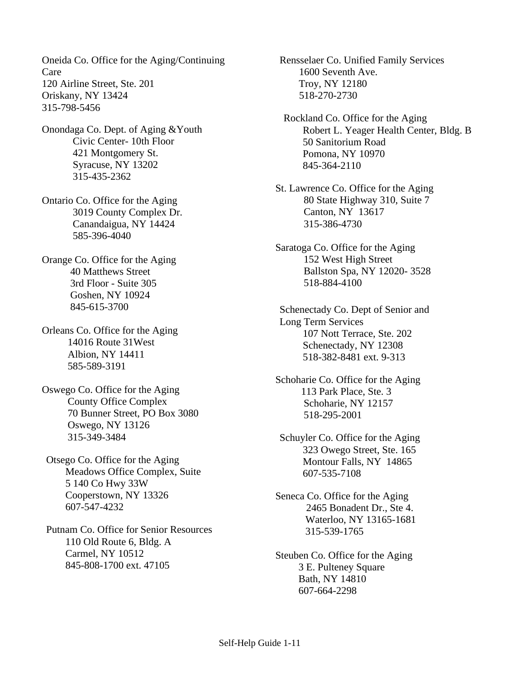Oneida Co. Office for the Aging/Continuing Care 120 Airline Street, Ste. 201 Oriskany, NY 13424 315-798-5456

- Onondaga Co. Dept. of Aging &Youth Civic Center- 10th Floor 421 Montgomery St. Syracuse, NY 13202 315-435-2362
- Ontario Co. Office for the Aging 3019 County Complex Dr. Canandaigua, NY 14424 585-396-4040
- Orange Co. Office for the Aging 40 Matthews Street 3rd Floor - Suite 305 Goshen, NY 10924 845-615-3700
- Orleans Co. Office for the Aging 14016 Route 31West Albion, NY 14411 585-589-3191
- Oswego Co. Office for the Aging County Office Complex 70 Bunner Street, PO Box 3080 Oswego, NY 13126 315-349-3484
- Otsego Co. Office for the Aging Meadows Office Complex, Suite 5 140 Co Hwy 33W Cooperstown, NY 13326 607-547-4232
- Putnam Co. Office for Senior Resources 110 Old Route 6, Bldg. A Carmel, NY 10512 845-808-1700 ext. 47105

Rensselaer Co. Unified Family Services 1600 Seventh Ave. Troy, NY 12180 518-270-2730

- Rockland Co. Office for the Aging Robert L. Yeager Health Center, Bldg. B 50 Sanitorium Road Pomona, NY 10970 845-364-2110
- St. Lawrence Co. Office for the Aging 80 State Highway 310, Suite 7 Canton, NY 13617 315-386-4730
- Saratoga Co. Office for the Aging 152 West High Street Ballston Spa, NY 12020- 3528 518-884-4100
- Schenectady Co. Dept of Senior and Long Term Services 107 Nott Terrace, Ste. 202 Schenectady, NY 12308 518-382-8481 ext. 9-313
- Schoharie Co. Office for the Aging 113 Park Place, Ste. 3 Schoharie, NY 12157 518-295-2001
- Schuyler Co. Office for the Aging 323 Owego Street, Ste. 165 Montour Falls, NY 14865 607-535-7108
- Seneca Co. Office for the Aging 2465 Bonadent Dr., Ste 4. Waterloo, NY 13165-1681 315-539-1765
- Steuben Co. Office for the Aging 3 E. Pulteney Square Bath, NY 14810 607-664-2298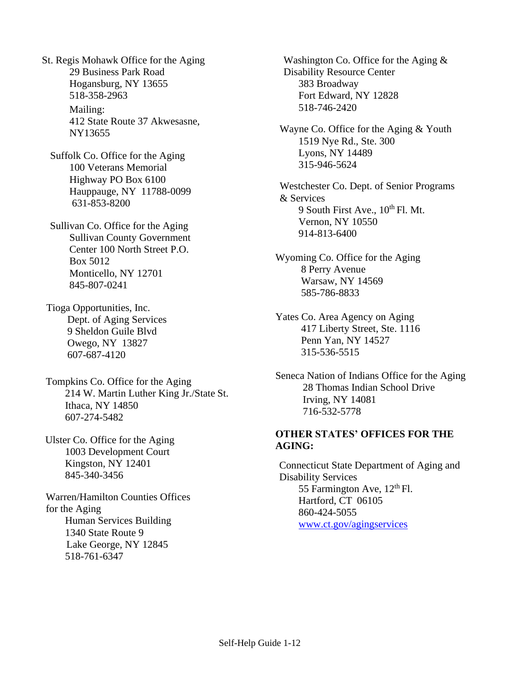St. Regis Mohawk Office for the Aging 29 Business Park Road Hogansburg, NY 13655 518-358-2963 Mailing: 412 State Route 37 Akwesasne, NY13655

Suffolk Co. Office for the Aging 100 Veterans Memorial Highway PO Box 6100 Hauppauge, NY 11788-0099 631-853-8200

Sullivan Co. Office for the Aging Sullivan County Government Center 100 North Street P.O. Box 5012 Monticello, NY 12701 845-807-0241

Tioga Opportunities, Inc. Dept. of Aging Services 9 Sheldon Guile Blvd Owego, NY 13827 607-687-4120

Tompkins Co. Office for the Aging 214 W. Martin Luther King Jr./State St. Ithaca, NY 14850 607-274-5482

Ulster Co. Office for the Aging 1003 Development Court Kingston, NY 12401 845-340-3456

Warren/Hamilton Counties Offices for the Aging Human Services Building 1340 State Route 9 Lake George, NY 12845 518-761-6347

Washington Co. Office for the Aging & Disability Resource Center 383 Broadway Fort Edward, NY 12828 518-746-2420

Wayne Co. Office for the Aging & Youth 1519 Nye Rd., Ste. 300 Lyons, NY 14489 315-946-5624

Westchester Co. Dept. of Senior Programs & Services 9 South First Ave.,  $10^{th}$  Fl. Mt. Vernon, NY 10550 914-813-6400

Wyoming Co. Office for the Aging 8 Perry Avenue Warsaw, NY 14569 585-786-8833

Yates Co. Area Agency on Aging 417 Liberty Street, Ste. 1116 Penn Yan, NY 14527 315-536-5515

Seneca Nation of Indians Office for the Aging 28 Thomas Indian School Drive Irving, NY 14081 716-532-5778

#### **OTHER STATES' OFFICES FOR THE AGING:**

Connecticut State Department of Aging and Disability Services 55 Farmington Ave,  $12<sup>th</sup>$  Fl. Hartford, CT 06105 860-424-5055 [www.ct.gov/agingservices](http://www.ct.gov/agingservices)